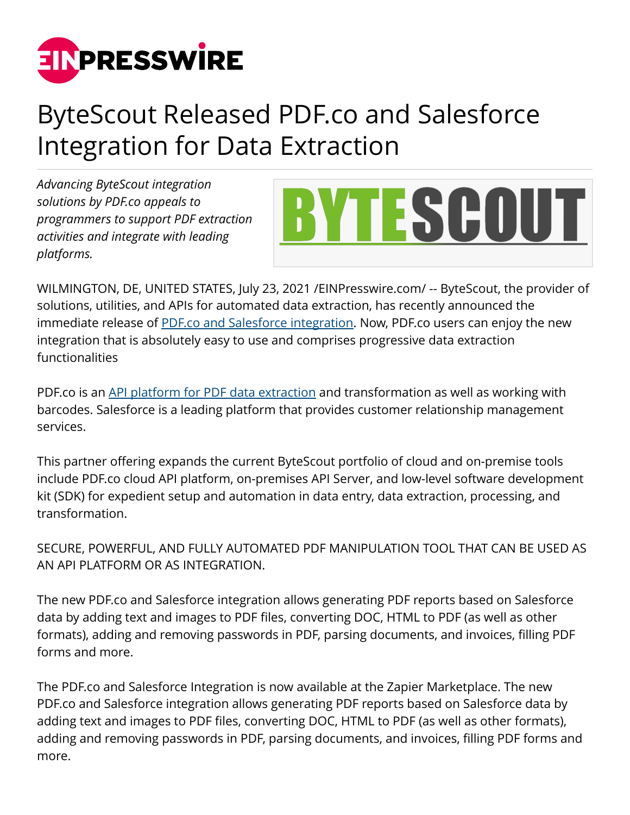

## ByteScout Released PDF.co and Salesforce Integration for Data Extraction

*Advancing ByteScout integration solutions by PDF.co appeals to programmers to support PDF extraction activities and integrate with leading platforms.*



WILMINGTON, DE, UNITED STATES, July 23, 2021 /[EINPresswire.com/](http://www.einpresswire.com) -- ByteScout, the provider of solutions, utilities, and APIs for automated data extraction, has recently announced the immediate release of [PDF.co and Salesforce integration.](https://pdf.co/salesforce) Now, PDF.co users can enjoy the new integration that is absolutely easy to use and comprises progressive data extraction functionalities

PDF.co is an [API platform for PDF data extraction](https://pdf.co/rest-web-api) and transformation as well as working with barcodes. Salesforce is a leading platform that provides customer relationship management services.

This partner offering expands the current ByteScout portfolio of cloud and on-premise tools include PDF.co cloud API platform, on-premises API Server, and low-level software development kit (SDK) for expedient setup and automation in data entry, data extraction, processing, and transformation.

SECURE, POWERFUL, AND FULLY AUTOMATED PDF MANIPULATION TOOL THAT CAN BE USED AS AN API PLATFORM OR AS INTEGRATION.

The new PDF.co and Salesforce integration allows generating PDF reports based on Salesforce data by adding text and images to PDF files, converting DOC, HTML to PDF (as well as other formats), adding and removing passwords in PDF, parsing documents, and invoices, filling PDF forms and more.

The PDF.co and Salesforce Integration is now available at the Zapier Marketplace. The new PDF.co and Salesforce integration allows generating PDF reports based on Salesforce data by adding text and images to PDF files, converting DOC, HTML to PDF (as well as other formats), adding and removing passwords in PDF, parsing documents, and invoices, filling PDF forms and more.